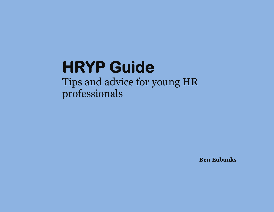Tips and advice for young HR professionals

**Ben Eubanks**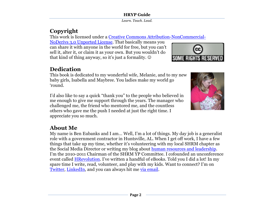*Learn. Teach. Lead.*

# **Copyright**

This work is licensed under a [Creative Commons Attribution-NonCommercial-](file:///C:/Users/Eubanks/AppData/Roaming/Microsoft/Word/href=%22http:/creativecommons.org/licenses/by-nc-nd/3.0/)

[NoDerivs 3.0 Unported License.](file:///C:/Users/Eubanks/AppData/Roaming/Microsoft/Word/href=%22http:/creativecommons.org/licenses/by-nc-nd/3.0/) That basically means you can share it with anyone in the world for free, but you can"t sell it, alter it, or claim it as your own. But you wouldn"t do that kind of thing anyway, so it's just a formality.  $\odot$ 



## **Dedication**

This book is dedicated to my wonderful wife, Melanie, and to my new baby girls, Isabella and Maybree. You ladies make my world go "round.

I"d also like to say a quick "thank you" to the people who believed in me enough to give me support through the years. The manager who challenged me, the friend who mentored me, and the countless others who gave me the push I needed at just the right time. I appreciate you so much.

# **About Me**

My name is Ben Eubanks and I am… Well, I"m a lot of things. My day job is a generalist role with a government contractor in Huntsville, AL. When I get off work, I have a few things that take up my time, whether it's volunteering with my local SHRM chapter as the Social Media Director or writing my blog about [human resources and leadership.](http://upstarthr.com/first-time-here) I'm the 2010-2011 Chairman of the SHRM YP Committee. I cofounded an unconference event called [HRevolution.](http://thehrevolution.org/) I've written a handful of eBooks. Told you I did a lot! In my spare time I write, read, volunteer, and play with my kids. Want to connect? I"m on [Twitter,](http://twitter.com/beneubanks) [LinkedIn,](http://linkedin.com/in/beneubanks) and you can always hit me [via email.](mailto:ben@upstarthr.com?subject=Rock%20Your%20Chapter%20Feedback)

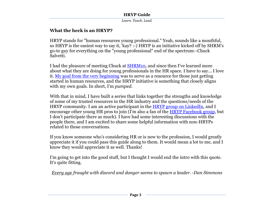*Learn. Teach. Lead.*

## **What the heck is an HRYP?**

HRYP stands for "human resources young professional." Yeah, sounds like a mouthful, so HRYP is the easiest way to say it, 'kay? :-) HRYP is an initiative kicked off by SHRM's go-to guy for everything on the "young professional" end of the spectrum--Chuck Salvetti.

I had the pleasure of meeting Chuck at [SHRM10,](http://upstarthr.com/shrm10) and since then I've learned more about what they are doing for young professionals in the HR space. I have to say... I love it. [My goal from the very beginning](http://upstarthr.com/about) was to serve as a resource for those just getting started in human resources, and the HRYP initiative is something that closely aligns with my own goals. In short, I"m *pumped.*

With that in mind, I have built a series that links together the strengths and knowledge of some of my trusted resources in the HR industry and the questions/needs of the HRYP community. I am an active participant in the [HRYP group on LinkedIn,](http://www.linkedin.com/groups?home=&gid=2911442&trk=anet_ug_hm) and I encourage other young HR pros to join (I'm also a fan of the [HRYP Facebook group,](http://www.facebook.com/group.php?gid=106579432708717) but I don't participate there as much). I have had some interesting discussions with the people there, and I am excited to share some helpful information with non-HRYPs related to those conversations.

If you know someone who"s considering HR or is new to the profession, I would greatly appreciate it if you could pass this guide along to them. It would mean a lot to me, and I know they would appreciate it as well. Thanks!

I'm going to get into the good stuff, but I thought I would end the intro with this quote. It's quite fitting.

*Every age fraught with discord and danger seems to spawn a leader. -Dan Simmons*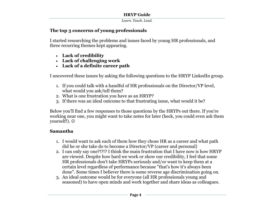*Learn. Teach. Lead.*

#### **The top 3 concerns of young professionals**

I started researching the problems and issues faced by young HR professionals, and three recurring themes kept appearing.

- **Lack of credibility**
- **Lack of challenging work**
- **Lack of a definite career path**

I uncovered these issues by asking the following questions to the HRYP LinkedIn group.

- 1. If you could talk with a handful of HR professionals on the Director/VP level, what would you ask/tell them?
- 2. What is one frustration you have as an HRYP?
- 3. If there was an ideal outcome to that frustrating issue, what would it be?

Below you'll find a few responses to those questions by the HRYPs out there. If you're working near one, you might want to take notes for later (heck, you could even ask them yourself!).  $\odot$ 

#### **Samantha**

- 1. I would want to ask each of them how they chose HR as a career and what path did he or she take do to become a Director/VP (career and personal)
- 2. I can only say one?!?!? I think the main frustration that I have now is how HRYP are viewed. Despite how hard we work or show our credibility, I feel that some HR professionals don't take HRYPs seriously and/or want to keep them at a certain level regardless of performance because "that's how it's always been done". Some times I believer there is some reverse age discrimination going on.
- 3. An ideal outcome would be for everyone (all HR professionals young and seasoned) to have open minds and work together and share ideas as colleagues.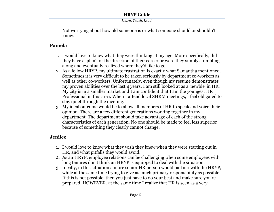*Learn. Teach. Lead.*

Not worrying about how old someone is or what someone should or shouldn't know.

#### **Pamela**

- 1. I would love to know what they were thinking at my age. More specifically, did they have a 'plan' for the direction of their career or were they simply stumbling along and eventually realized where they'd like to go.
- 2. As a fellow HRYP, my ultimate frustration is exactly what Samantha mentioned. Sometimes it is very difficult to be taken seriously by department co-workers as well as other co-workers. Unfortunately, even though my resume demonstrates my proven abilities over the last 4 years, I am still looked at as a 'newbie' in HR. My city is in a smaller market and I am confident that I am the youngest HR Professional in this area. When I attend local SHRM meetings, I feel obligated to stay quiet through the meeting.
- 3. My ideal outcome would be to allow all members of HR to speak and voice their opinion. There are a few different generations working together in my department. The department should take advantage of each of the strong characteristics of each generation. No one should be made to feel less superior because of something they clearly cannot change.

#### **Jenilee**

- 1. I would love to know what they wish they knew when they were starting out in HR, and what pitfalls they would avoid.
- 2. As an HRYP, employee relations can be challenging when some employees with long tenures don't think an HRYP is equipped to deal with the situation.
- 3. Ideally, in this situation a more senior HR person would partner with the HRYP, while at the same time trying to give as much primary responsibility as possible. If this is not possible, then you just have to do your best and make sure you're prepared. HOWEVER, at the same time I realize that HR is seen as a very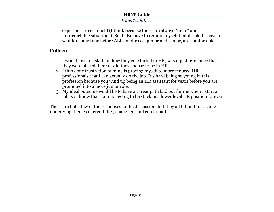#### *Learn. Teach. Lead.*

experience-driven field (I think because there are always "firsts" and unpredictable situations). So, I also have to remind myself that it's ok if I have to wait for some time before ALL employees, junior and senior, are comfortable.

## **Colleen**

- 1. I would love to ask them how they got started in HR, was it just by chance that they were placed there or did they choose to be in HR.
- 2. I think one frustration of mine is proving myself to more tenured HR professionals that I can actually do the job. It"s hard being so young in this profession because you wind up being an HR assistant for years before you are promoted into a more junior role.
- 3. My ideal outcome would be to have a career path laid out for me when I start a job, so I know that I am not going to be stuck in a lower level HR position forever.

These are but a few of the responses to the discussion, but they all hit on those same underlying themes of credibility, challenge, and career path.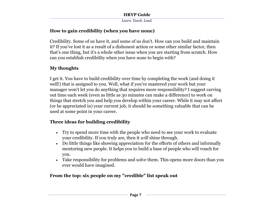*Learn. Teach. Lead.*

## **How to gain credibility (when you have none)**

Credibility. Some of us have it, and some of us don't. How can you build and maintain it? If you've lost it as a result of a dishonest action or some other similar factor, then that's one thing, but it's a whole other issue when you are starting from scratch. How can you establish credibility when you have none to begin with?

#### **My thoughts**

I get it. You have to build credibility over time by completing the work (and doing it well!) that is assigned to you. Well, what if you've mastered your work but your manager won't let you do anything that requires more responsibility? I suggest carving out time each week (even as little as 30 minutes can make a difference) to work on things that stretch you and help you develop within your career. While it may not affect (or be appreciated in) your current job, it should be something valuable that can be used at some point in your career.

## **Three ideas for building credibility**

- Try to spend more time with the people who need to see your work to evaluate your credibility. If you truly are, then it *will* shine through.
- Do little things like showing appreciation for the efforts of others and informally mentoring new people. It helps you to build a base of people who will vouch for you.
- Take responsibility for problems and solve them. This opens more doors than you ever would have imagined.

## **From the top: six people on my "credible" list speak out**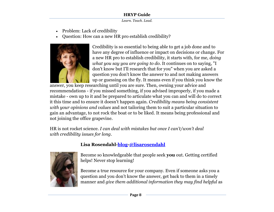*Learn. Teach. Lead.*

- Problem: Lack of credibility
- Question: How can a new HR pro establish credibility?



Credibility is so essential to being able to get a job done and to have any degree of influence or impact on decisions or change. For a new HR pro to establish credibility, it starts with, for me, *doing what you say you are going to do*. It continues on to saying, "I don't know but I'll research that for you" when you are asked a question you don't know the answer to and not making answers up or guessing on the fly. It means even if you think you know the

answer, you keep researching until you are sure. Then, owning your advice and recommendations - if you missed something, if you advised improperly, if you made a mistake - own up to it and be prepared to articulate what you can and will do to correct it this time and to ensure it doesn't happen again. *Credibility means being consistent with your opinions and values* and not tailoring them to suit a particular situation to gain an advantage, to not rock the boat or to be liked. It means being professional and not joining the office grapevine.

HR is not rocket science. *I can deal with mistakes but once I can't/won't deal with credibility issues for long*.

## **Lisa Rosendahl[-blog-](http://www.lisarosendahl.com/)[@lisarosendahl](http://twitter.com/lisarosendahl)**



Become so knowledgeable that people seek **you** out. Getting certified helps! Never stop learning!

Become a true resource for your company. Even if someone asks you a question and you don"t know the answer, get back to them in a timely manner and *give them additional information they may find helpful* as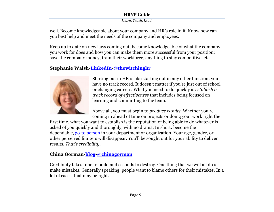*Learn. Teach. Lead.*

well. Become knowledgeable about your company and HR"s role in it. Know how can you best help and meet the needs of the company and employees.

Keep up to date on new laws coming out, become knowledgeable of what the company you work for does and how you can make them more successful from your position: save the company money, train their workforce, anything to stay competitive, etc.

## **Stephanie Walsh[-LinkedIn-](http://www.linkedin.com/in/swalsh2)[@thewitchinghr](http://twitter.com/thewitchinghr)**



Starting out in HR is like starting out in any other function: you have no track record. It doesn't matter if you're just out of school or changing careers. What you need to do quickly is *establish a track record of effectiveness* that includes being focused on learning and committing to the team.

Above all, you must begin to *produce results*. Whether you"re coming in ahead of time on projects or doing your work right the

first time, what you want to establish is the reputation of being able to do whatever is asked of you quickly and thoroughly, with no drama. In short: become the dependable, [go-to person](http://www.rockethr.com/how-to-become-the-go-to-person/) in your department or organization. Your age, gender, or other perceived limiters will disappear. You"ll be sought out for your ability to deliver results. *That's credibility*.

## **China Gorman[-blog](http://chinagorman.com/)[-@chinagorman](http://twitter.com/chinagorman)**

Credibility takes time to build and seconds to destroy. One thing that we will all do is make mistakes. Generally speaking, people want to blame others for their mistakes. In a lot of cases, that may be right.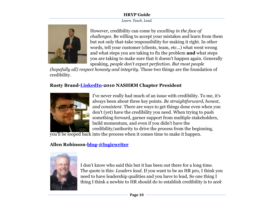*Learn. Teach. Lead.*



However, credibility can come by *excelling in the face of challenges*. Be willing to accept your mistakes and learn from them but not only that-take responsibility for making it right. In other words, tell your customer (clients, team, etc...) what went wrong and what steps you are taking to fix the problem **and** what steps you are taking to make sure that it doesn't happen again. Generally speaking, *people don't expect perfection. But most people* 

*(hopefully all) respect honesty and integrity.* Those two things are the foundation of credibility.

## **Rusty Brand[-LinkedIn-](http://www.linkedin.com/pub/rusty-brand/b/469/a39)2010 NASHRM Chapter President**



I've never really had much of an issue with credibility. To me, it's always been about three key points. *Be straightforward, honest, and consistent*. There are ways to get things done even when you don't (yet) have the credibility you need. When trying to push something forward, garner support from multiple stakeholders, build momentum, and even if you didn't have the credibility/authority to drive the process from the beginning,

you'll be looped back into the process when it comes time to make it happen.

## **Allen Robinson[-blog](http://logicwriter.org/)[-@logicwriter](http://twitter.com/logicwriter)**



I don't know who said this but it has been out there for a long time. The quote is this: *Leaders lead*. If you want to be an HR pro, I think you need to have leadership qualities and you have to lead, So one thing I thing I think a newbie to HR should do to establish credibility is to *seek*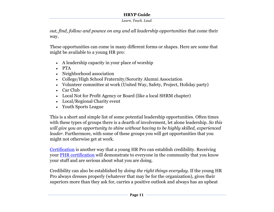*Learn. Teach. Lead.*

*out, find, follow and pounce on any and all leadership opportunities* that come their way.

These opportunities can come in many different forms or shapes. Here are some that might be available to a young HR pro:

- A leadership capacity in your place of worship
- PTA
- Neighborhood association
- College/High School Fraternity/Sorority Alumni Association
- Volunteer committee at work (United Way, Safety, Project, Holiday party)
- Car Club
- Local Not for Profit Agency or Board (like a local SHRM chapter)
- Local/Regional Charity event
- Youth Sports League

This is a short and simple list of some potential leadership opportunities. Often times with these types of groups there is a dearth of involvement, let alone leadership. *So this will give you an opportunity to shine without having to be highly skilled, experienced leader*. Furthermore, with some of these groups you will get opportunities that you might not otherwise get at work.

[Certification](http://upstarthr.com/hr-certification) is another way that a young HR Pro can establish credibility. Receiving your [PHR certification](http://upstarthr.com/rock-the-phr) will demonstrate to everyone in the community that you know your stuff and are serious about what you are doing.

Credibility can also be established by *doing the right things everyday*. If the young HR Pro always dresses properly (whatever that may be for the organization), gives their superiors more than they ask for, carries a positive outlook and always has an upbeat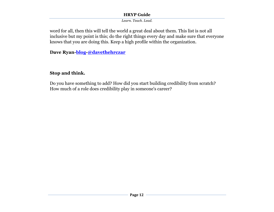*Learn. Teach. Lead.*

word for all, then this will tell the world a great deal about them. This list is not all inclusive but my point is this; do the right things every day and make sure that everyone knows that you are doing this. Keep a high profile within the organization.

**Dave Ryan[-blog-](http://hrofficial.com/)[@davethehrczar](http://twitter.com/davethehrczar)**

## **Stop and think.**

Do you have something to add? How did you start building credibility from scratch? How much of a role does credibility play in someone's career?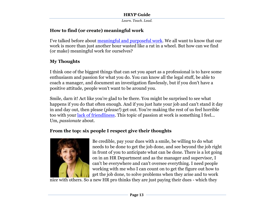*Learn. Teach. Lead.*

## **How to find (or create) meaningful work**

I've talked before about [meaningful and purposeful work.](http://upstarthr.com/work-with-meaning-and-purpose/) We all want to know that our work is more than just another hour wasted like a rat in a wheel. But how can we find (or make) meaningful work for ourselves?

## **My Thoughts**

I think one of the biggest things that can set you apart as a professional is to have some enthusiasm and passion for what you do. You can know all the legal stuff, be able to coach a manager, and document an investigation flawlessly, but if you don't have a positive attitude, people won't want to be around you.

Smile, darn it! Act like you're glad to be there. You might be surprised to see what happens if you do that often enough. And if you just hate your job and can't stand it day in and day out, then please (*please!*) get out. You're making the rest of us feel horrible too with your [lack of friendliness.](http://www.kamaletalent.com/friendliness-and-personal-development/) This topic of passion at work is something I feel... Um, *passionate* about.

## **From the top: six people I respect give their thoughts**



Be credible, pay your dues with a smile, be willing to do what needs to be done to get the job done, and see beyond the job right in front of you to anticipate what can be done. There is a lot going on in an HR Department and as the manager and supervisor, I can't be everywhere and can't oversee everything. I need people working with me who I can count on to get the figure out how to get the job done, to solve problems when they arise and to work

nice with others. So a new HR pro thinks they are just paying their dues - which they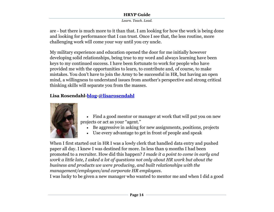*Learn. Teach. Lead.*

are - but there is much more to it than that. I am looking for how the work is being done and looking for performance that I can trust. Once I see that, the less routine, more challenging work will come your way until you cry uncle.

My military experience and education opened the door for me initially however developing solid relationships, being true to my word and always learning have been keys to my continued success. I have been fortunate to work for people who have provided me with the opportunities to learn, to contribute and, of course, to make mistakes. You don"t have to join the Army to be successful in HR, but having an open mind, a willingness to understand issues from another"s perspective and strong critical thinking skills will separate you from the masses.

## **Lisa Rosendahl[-blog](http://www.lisarosendahl.com/)[-@lisarosendahl](http://twitter.com/lisarosendahl)**



- Find a good mentor or manager at work that will put you on new projects or act as your "agent."
	- Be aggressive in asking for new assignments, positions, projects
	- Use every advantage to get in front of people and speak

When I first started out in HR I was a lowly clerk that handled data entry and pushed paper all day. I knew I was destined for more. In less than 9 months I had been promoted to a recruiter. How did this happen? *I made it a point to come in early and work a little late, I asked a lot of questions not only about HR work but about the business and products we were producing, and built relationships with the management/employees/and corporate HR employees*.

I was lucky to be given a new manager who wanted to mentor me and when I did a good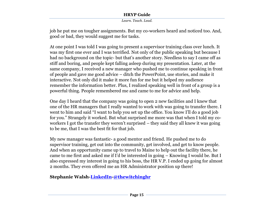*Learn. Teach. Lead.*

job he put me on tougher assignments. But my co-workers heard and noticed too. And, good or bad, they would suggest me for tasks.

At one point I was told I was going to present a supervisor training class over lunch. It was my first one ever and I was terrified. Not only of the public speaking but because I had no background on the topic- but that's another story. Needless to say I came off as stiff and boring, and people kept falling asleep during my presentation. Later, at the same company, I received a new manager who pushed me to continue speaking in front of people and gave me good advice – ditch the PowerPoint, use stories, and make it interactive. Not only did it make it more fun for me but it helped my audience remember the information better. Plus, I realized speaking well in front of a group is a powerful thing. People remembered me and came to me for advice and help.

One day I heard that the company was going to open 2 new facilities and I knew that one of the HR managers that I really wanted to work with was going to transfer there. I went to him and said "I want to help you set up the office. You know I"ll do a good job for you." Strangely it worked. But what surprised me more was that when I told my coworkers I got the transfer they weren't surprised – they said they all knew it was going to be me, that I was the best fit for that job.

My new manager was fantastic- a good mentor and friend. He pushed me to do supervisor training, get out into the community, get involved, and get to know people. And when an opportunity came up to travel to Maine to help out the facility there, he came to me first and asked me if I"d be interested in going – Knowing I would be. But I also expressed my interest in going to his boss, the HR V.P. I ended up going for almost 2 months. They even offered me an HR Administrator position up there!

## **Stephanie Walsh[-LinkedIn-](http://www.linkedin.com/in/swalsh2)[@thewitchinghr](http://twitter.com/thewitchinghr)**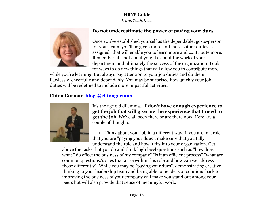*Learn. Teach. Lead.*



## **Do not underestimate the power of paying your dues.**

Once you"ve established yourself as the dependable, go-to-person for your team, you"ll be given more and more "other duties as assigned" that will enable you to learn more and contribute more. Remember, it's not about you; it's about the work of your department and ultimately the success of the organization. Look for ways to do new things that will allow you to contribute more

while you"re learning. But always pay attention to your job duties and do them flawlessly, cheerfully and dependably. You may be surprised how quickly your job duties will be redefined to include more impactful activities.

## **China Gorman[-blog](http://chinagorman.com/)[-@chinagorman](http://twitter.com/chinagorman)**



It's the age old dilemma....**I don't have enough experience to get the job that will give me the experience that I need to get the job**. We've all been there or are there now. Here are a couple of thoughts:

1. Think about your job in a different way. If you are in a role that you are "paying your dues", make sure that you fully understand the role and how it fits into your organization. Get

above the tasks that you do and think high level questions such as "how does what I do effect the business of my company" "is it an efficient process" "what are common questions/issues that arise within this role and how can we address those differently". While you may be "paying your dues", demonstrating creative thinking to your leadership team and being able to tie ideas or solutions back to improving the business of your company will make you stand out among your peers but will also provide that sense of meaningful work.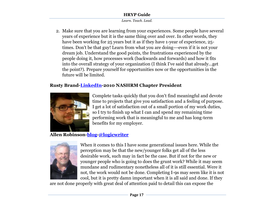*Learn. Teach. Lead.*

2. Make sure that you are learning from your experiences. Some people have several years of experience but it is the same thing over and over. In other words, they have been working for 25 years but it as if they have 1-year of experience, 25times. Don't be that guy! Learn from what you are doing---even if it is not your dream job. Understand the good points, the frustrations experienced by the people doing it, how processes work (backwards and forwards) and how it fits into the overall strategy of your organization (I think I've said that already...get the point?). Prepare yourself for opportunities now or the opportunities in the future will be limited.

## **Rusty Brand[-LinkedIn-](http://www.linkedin.com/pub/rusty-brand/b/469/a39)2010 NASHRM Chapter President**



Complete tasks quickly that you don't find meaningful and devote time to projects that give you satisfaction and a feeling of purpose. I get a lot of satisfaction out of a small portion of my work duties, so I try to finish up what I can and spend my remaining time performing work that is meaningful to me and has long-term benefits for my employer.

## **Allen Robinson[-blog](http://logicwriter.org/)[-@logicwriter](http://twitter.com/logicwriter)**



When it comes to this I have some generational issues here. While the perception may be that the new/younger folks get all of the less desirable work, such may in fact be the case. But if not for the new or younger people who is going to does the grunt work? While it may seem mundane and rudimentary nonetheless all of it is still essential. Were it not, the work would not be done. Completing I-9s may seem like it is not cool, but it is pretty damn important when it is all said and done. If they

are not done properly with great deal of attention paid to detail this can expose the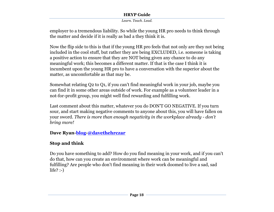*Learn. Teach. Lead.*

employer to a tremendous liability. So while the young HR pro needs to think through the matter and decide if it is really as bad a they think it is.

Now the flip side to this is that if the young HR pro feels that not only are they not being included in the cool stuff, but rather they are being EXCLUDED, i.e. someone is taking a positive action to ensure that they are NOT being given any chance to do any meaningful work; this becomes a different matter. If that is the case I think it is incumbent upon the young HR pro to have a conversation with the superior about the matter, as uncomfortable as that may be.

Somewhat relating Q2 to Q1, if you can't find meaningful work in your job, maybe you can find it in some other areas outside of work. For example as a volunteer leader in a not-for-profit group, you might well find rewarding and fulfilling work.

Last comment about this matter, whatever you do DON'T GO NEGATIVE. If you turn sour, and start making negative comments to anyone about this, you will have fallen on your sword. *There is more than enough negativity in the workplace already - don't bring more!*

## **Dave Ryan[-blog-](http://hrofficial.com/)[@davethehrczar](http://twitter.com/davethehrczar)**

## **Stop and think**

Do you have something to add? How do you find meaning in your work, and if you can't do that, how can you create an environment where work can be meaningful and fulfilling? Are people who don't find meaning in their work doomed to live a sad, sad life? :-)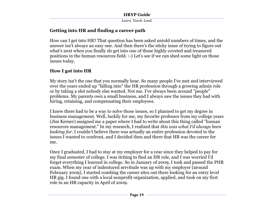*Learn. Teach. Lead.*

## **Getting into HR and finding a career path**

How can I get into HR? That question has been asked untold numbers of times, and the answer isn't always an easy one. And then there's the sticky issue of trying to figure out what's next when you finally *do* get into one of those highly coveted and treasured positions in the human resources field. :-) Let's see if we can shed some light on those issues today.

## **How I got into HR**

My story isn't the one that you normally hear. So many people I've met and interviewed over the years ended up "falling into" the HR profession through a growing admin role or by taking a slot nobody else wanted. Not me. I've always been around "people" problems. My parents own a small business, and I always saw the issues they had with hiring, retaining, and compensating their employees.

I knew there had to be a way to solve those issues, so I planned to get my degree in business management. Well, luckily for me, my favorite professor from my college years (Jim Kerner) assigned me a paper where I had to write about this thing called "human resources management." In my research, I realized that *this was what I'd always been looking for*. I couldn't believe there was actually an entire profession devoted to the issues I wanted to confront, and I decided then and there that HR was the career for me.

Once I graduated, I had to stay at my employer for a year since they helped to pay for my final semester of college. I was itching to find an HR role, and I was worried I'd forget everything I learned in college. So in January of 2009, I took and passed the PHR exam. When my year of indentured servitude was up with my employer (around February 2009), I started combing the career sites out there looking for an entry level HR gig. I found one with a local nonprofit organization, applied, and took on my first role in an HR capacity in April of 2009.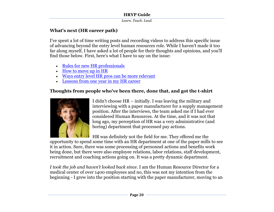*Learn. Teach. Lead.*

## **What's next (HR career path)**

I've spent a lot of time writing posts and recording videos to address this specific issue of advancing beyond the entry level human resources role. While I haven't made it too far along myself, I have asked a lot of people for their thoughts and opinions, and you'll find those below. First, here's what I have to say on the issue:

- [Rules for new HR professionals](http://upstarthr.com/rules-for-new-hr-professionals/)
- [How to move up](http://upstarthr.com/video-how-to-move-up-in-hr/) in HR
- [Ways entry level HR pros can be more relevant](http://upstarthr.com/3-ways-entry-level-hr-professionals-can-be-more-relevant/)
- Lessons from one [year in my HR career](http://upstarthr.com/lessons-from-one-year-in-hr-video/)

## **Thoughts from people who've been there, done that, and got the t-shirt**



I didn"t choose HR – initially. I was leaving the military and interviewing with a paper manufacturer for a supply management position. After the interviews, the team asked me if I had ever considered Human Resources. At the time, and it was not that long ago, my perception of HR was a very administrative (and boring) department that processed pay actions.

HR was definitely not the field for me. They offered me the

opportunity to spend some time with an HR department at one of the paper mills to see it in action. Sure, there was some processing of personnel actions and benefits work being done, but there were also employee relations, labor relations, staff development, recruitment and coaching actions going on. It was a pretty dynamic department.

*I took the job and haven't looked back since*. I am the Human Resource Director for a medical center of over 1400 employees and no, this was not my intention from the beginning - I grew into the position starting with the paper manufacturer, moving to an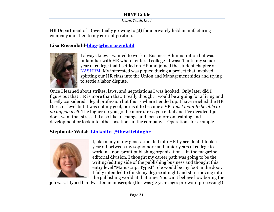*Learn. Teach. Lead.*

HR Department of 1 (eventually growing to 3!) for a privately held manufacturing company and then to my current position.

## **Lisa Rosendahl[-blog](http://www.lisarosendahl.com/)[-@lisarosendahl](http://twitter.com/lisarosendahl)**



I always knew I wanted to work in Business Administration but was unfamiliar with HR when I entered college. It wasn"t until my senior year of college that I settled on HR and joined the student chapter of [NASHRM.](http://www.nashrm.org/) My interested was piqued during a project that involved splitting our HR class into the Union and Management sides and trying to settle a labor dispute.

Once I learned about strikes, laws, and negotiations I was hooked. Only later did I figure out that HR is more than that. I really thought I would be arguing for a living and briefly considered a legal profession but this is where I ended up. I have reached the HR Director level but it was not my goal, nor is it to become a VP. *I just want to be able to do my job well*. The higher up you go the more stress you entail and I"ve decided I just don"t want that stress. I"d also like to change and focus more on training and development or look into other positions in the company – Operations for example.

## **Stephanie Walsh[-LinkedIn-](http://www.linkedin.com/in/swalsh2)[@thewitchinghr](http://twitter.com/thewitchinghr)**



I, like many in my generation, fell into HR by accident. I took a year off between my sophomore and junior years of college to work in a non-profit publishing organization – in the magazine editorial division. I thought my career path was going to be the writing/editing side of the publishing business and thought this entry level "Manuscript Typist" role would be my foot in the door. I fully intended to finish my degree at night and start moving into the publishing world at that time. You can"t believe how boring the

job was. I typed handwritten manuscripts (this was 32 years ago: pre-word processing!)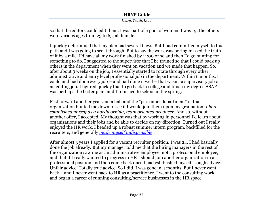*Learn. Teach. Lead.*

so that the editors could edit them. I was part of a pool of women. I was 19; the others were various ages from 23 to 65, all female.

I quickly determined that my plan had several flaws. But I had committed myself to this path and I was going to see it through. But to say the work was boring missed the truth of it by a mile. I"d have all my work finished by 11:00 or so and then I"d go hunting for something to do. I suggested to the supervisor that I be trained so that I could back up others in the department when they went on vacation and we made that happen. So, after about 3 weeks on the job, I essentially started to rotate through every other administrative and entry level professional job in the department. Within 6 months, I could and had done every job – and had done it well – that wasn"t a supervisory job or an editing job. I figured quickly that to go back to college and finish my degree ASAP was perhaps the better plan, and I returned to school in the spring.

Fast forward another year and a half and the "personnel department" of that organization hunted me down to see if I would join them upon my graduation. *I had established myself as a hardworking, team oriented producer*. And so, without another offer, I accepted. My thought was that by working in personnel I"d learn about organizations and their jobs and be able to decide on my direction. Turned out I really enjoyed the HR work. I headed up a robust summer intern program, backfilled for the recruiters, and generally *[made myself indispensible](http://www.rockethr.com/how-to-become-the-go-to-person)*.

After almost 3 years I applied for a vacant recruiter position. I was 24. I had basically done the job already. But my manager told me that the hiring managers in the rest of the organization saw me as an administrative employee, not a professional employee, and that if I really wanted to progress in HR I should join another organization in a professional position and then come back once I had established myself. Tough advice. Unfair advice. Totally true advice. So I did. I was gone in 4 months. But I never went back – and I never went back to HR as a practitioner. I went to the consulting world and began a career of running consulting/service businesses in the HR space.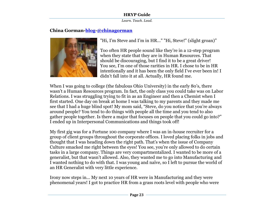*Learn. Teach. Lead.*

#### **China Gorman[-blog](http://chinagorman.com/)[-@chinagorman](http://twitter.com/chinagorman)**



"Hi, I'm Steve and I'm in HR..." "Hi, Steve!" (slight groan)"

Too often HR people sound like they"re in a 12-step program when they state that they are in Human Resources. That should be discouraging, but I find it to be a great driver! You see, I"m one of those rarities in HR. I chose to be in HR intentionally and it has been the only field I"ve ever been in! I didn"t fall into it at all. Actually, HR found me.

When I was going to college (the fabulous Ohio University) in the early 80's, there wasn"t a Human Resources program. In fact, the only class you could take was on Labor Relations. I was struggling trying to fit in as an Engineer and then a Chemist when I first started. One day on break at home I was talking to my parents and they made me see that I had a huge blind spot! My mom said, "Steve, do you notice that you"re always around people? You tend to do things with people all the time and you tend to also gather people together. Is there a major that focuses on people that you could go into?" I ended up in Interpersonal Communications and things took off!

My first gig was for a Fortune 100 company where I was an in-house recruiter for a group of client groups throughout the corporate offices. I loved placing folks in jobs and thought that I was heading down the right path. That"s when the issue of Company Culture smacked me right between the eyes! You see, you"re only allowed to do certain tasks in a large company. Things are very compartmentalized. I wanted to be more of a generalist, but that wasn"t allowed. Also, they wanted me to go into Manufacturing and I wanted nothing to do with that. I was young and naïve, so I left to pursue the world of an HR Generalist with very little experience.

Irony now steps in... My next 10 years of HR were in Manufacturing and they were phenomenal years! I got to practice HR from a grass roots level with people who were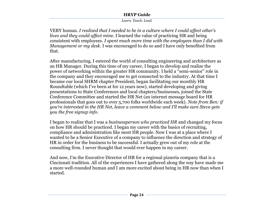*Learn. Teach. Lead.*

VERY human. *I realized that I needed to be in a culture where I could affect other's lives and they could affect min*e. I learned the value of practicing HR and being consistent with employees. *I spent much more time with the employees than I did with Management or my desk*. I was encouraged to do so and I have only benefited from that.

After manufacturing, I entered the world of consulting engineering and architecture as an HR Manager. During this time of my career, I began to develop and realize the power of networking within the greater HR community. I held a "semi-senior" role in the company and they encouraged me to get connected to the industry. At that time I became our local SHRM chapter President, began facilitating our monthly HR Roundtable (which I"ve been at for 12 years now), started developing and giving presentations to State Conferences and local chapters/businesses, joined the State Conference Committee and started the HR Net (an internet message board for HR professionals that goes out to over 5,700 folks worldwide each week). *Note from Ben: if you're interested in the HR Net, leave a comment below and I'll make sure Steve gets you the free signup info.*

I began to realize that I was a *businessperson who practiced HR* and changed my focus on how HR should be practiced. I began my career with the basics of recruiting, compliance and administration like most HR people. Now I was at a place where I wanted to be a Senior Executive of a company to influence the direction and strategy of HR in order for the business to be successful. I actually grew out of my role at the consulting firm. I never thought that would ever happen in my career.

And now, I'm the Executive Director of HR for a regional pizzeria company that is a Cincinnati tradition. All of the experiences I have gathered along the way have made me a more well-rounded human and I am more excited about being in HR now than when I started.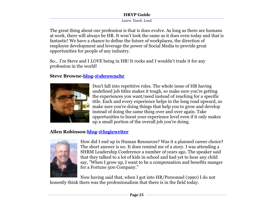*Learn. Teach. Lead.*

The great thing about our profession is that is does evolve. As long as there are humans at work, there will always be HR. It won"t look the same as it does even today and that is fantastic! We have a chance to define the future of workplaces, the direction of employee development and leverage the power of Social Media to provide great opportunities for people of any industry.

So... I"m Steve and I *LOVE* being in HR! It rocks and I wouldn"t trade it for any profession in the world!

#### **Steve Browne[-blog](http://sbrownehr.com/)[-@sbrownehr](http://twitter.com/sbrownehr)**



Don't fall into repetitive roles. The whole issue of HR having undefined job titles makes it tough, so make sure you're getting the experiences you want/need instead of reaching for a specific title. Each and every experience helps in the long road upward, so make sure you're doing things that help you to grow and develop instead of doing the same thing over and over again. Take opportunities to boost your experience level even if it only makes up a small portion of the overall job you're doing.

## **Allen Robinson[-blog](http://logicwriter.org/)[-@logicwriter](http://twitter.com/logicwriter)**



How did I end up in Human Resources? Was it a planned career choice? The short answer is no. It does remind me of a story. I was attending a SHRM Leadership Conference a number of years ago. The speaker said that they talked to a lot of kids in school and had yet to hear any child say, "When I grow up, I want to be a compensation and benefits manger for a Fortune 500 Company."

Now having said that, when I got into HR/Personnel (1990) I do not honestly think there was the professionalism that there is in the field today.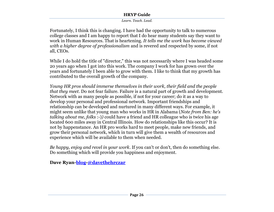*Learn. Teach. Lead.*

Fortunately, I think this is changing. I have had the opportunity to talk to numerous college classes and I am happy to report that I do hear many students say they want to work in Human Resources. That is heartening. *It tells me the work has become viewed with a higher degree of professionalism* and is revered and respected by some, if not all, CEOs.

While I do hold the title of "director," this was not necessarily where I was headed some 20 years ago when I got into this work. The company I work for has grown over the years and fortunately I been able to grow with them. I like to think that my growth has contributed to the overall growth of the company.

*Young HR pros should immerse themselves in their work, their field and the people that they meet*. Do not fear failure. Failure is a natural part of growth and development. Network with as many people as possible, if not for your career; do it as a way to develop your personal and professional network. Important friendships and relationship can be developed and nurtured in many different ways. For example, it might seem unlike that young man who works in HR in Alabama (*Note from Ben: he's talking about me, folks* :-)*)* could have a friend and HR colleague who is twice his age located 600 miles away in Central Illinois. How do relationships like this occur? It is not by happenstance. An HR pro works hard to meet people, make new friends, and grow their personal network, which in turn will give them a wealth of resources and experience which will be available to them when needed.

*Be happy, enjoy and revel in your work*. If you can't or don't, then do something else. Do something which will provide you happiness and enjoyment.

**Dave Ryan[-blog-](http://hrofficial.com/)[@davethehrczar](http://twitter.com/davethehrczar)**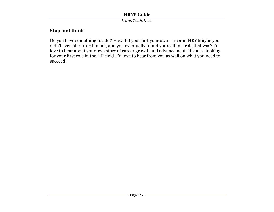*Learn. Teach. Lead.*

## **Stop and think**

Do you have something to add? How did you start your own career in HR? Maybe you didn't even start in HR at all, and you eventually found yourself in a role that was? I'd love to hear about your own story of career growth and advancement. If you're looking for your first role in the HR field, I'd love to hear from you as well on what you need to succeed.